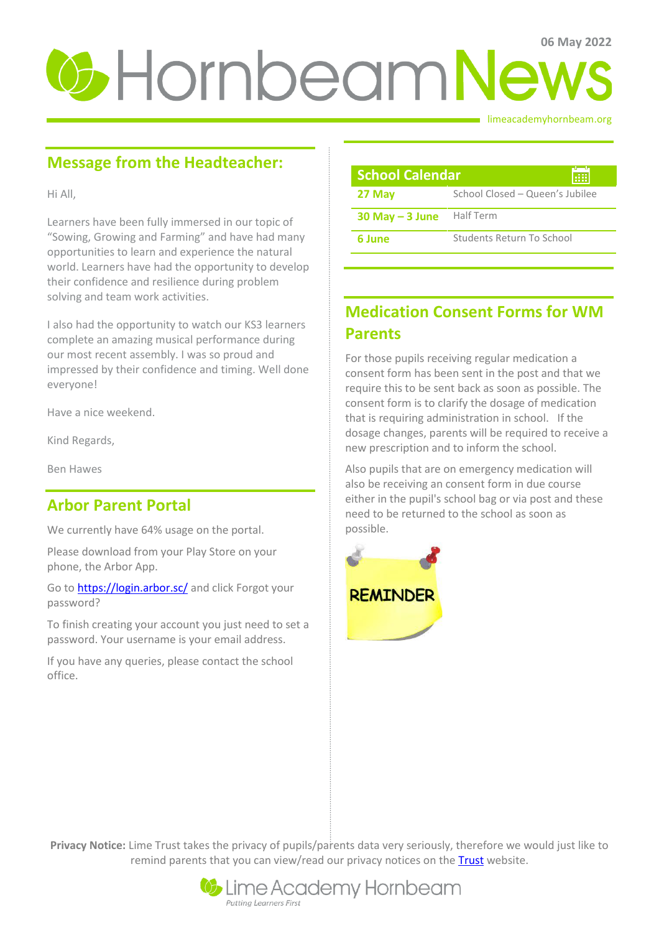# *U*-HornbeamNews

limeacademyhornbeam.org

# **Message from the Headteacher:**

Hi All,

Learners have been fully immersed in our topic of "Sowing, Growing and Farming" and have had many opportunities to learn and experience the natural world. Learners have had the opportunity to develop their confidence and resilience during problem solving and team work activities.

I also had the opportunity to watch our KS3 learners complete an amazing musical performance during our most recent assembly. I was so proud and impressed by their confidence and timing. Well done everyone!

Have a nice weekend.

Kind Regards,

Ben Hawes

## **Arbor Parent Portal**

We currently have 64% usage on the portal.

Please download from your Play Store on your phone, the Arbor App.

Go t[o https://login.arbor.sc/](https://login.arbor.sc/) and click Forgot your password?

To finish creating your account you just need to set a password. Your username is your email address.

If you have any queries, please contact the school office.

| <b>School Calendar</b><br>疆 |                                 |
|-----------------------------|---------------------------------|
| 27 May                      | School Closed - Queen's Jubilee |
| $30$ May $-$ 3 June         | Half Term                       |
| 6 June                      | Students Return To School       |

## **Medication Consent Forms for WM Parents**

For those pupils receiving regular medication a consent form has been sent in the post and that we require this to be sent back as soon as possible. The consent form is to clarify the dosage of medication that is requiring administration in school. If the dosage changes, parents will be required to receive a new prescription and to inform the school.

Also pupils that are on emergency medication will also be receiving an consent form in due course either in the pupil's school bag or via post and these need to be returned to the school as soon as possible.



**Privacy Notice:** Lime Trust takes the privacy of pupils/parents data very seriously, therefore we would just like to remind parents that you can view/read our privacy notices on the [Trust](http://limetrust.org/lime-trust-information/policies/) website.

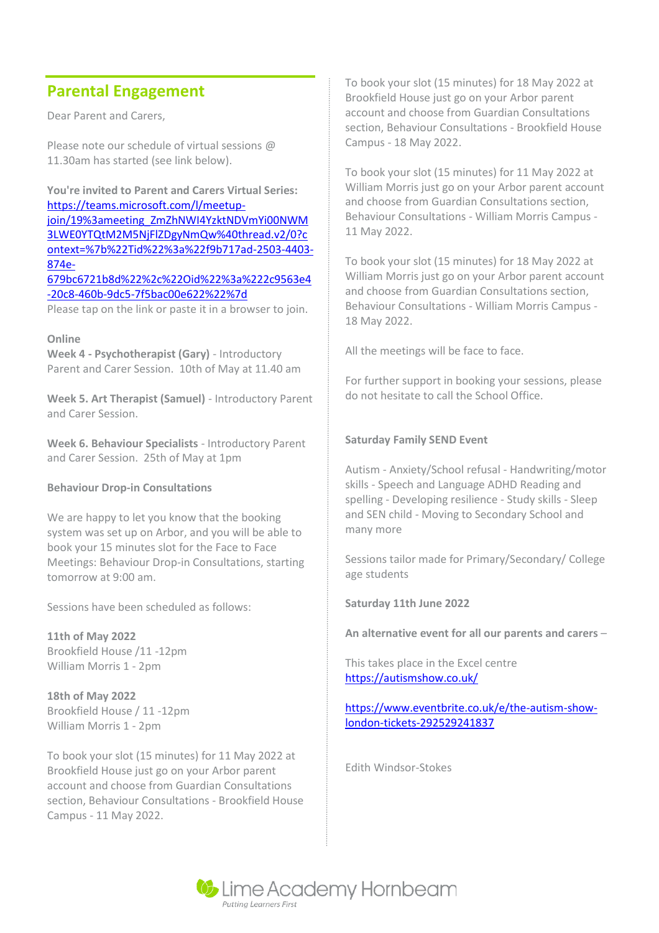## **Parental Engagement**

Dear Parent and Carers,

Please note our schedule of virtual sessions @ 11.30am has started (see link below).

**You're invited to Parent and Carers Virtual Series:**  [https://teams.microsoft.com/l/meetup](https://teams.microsoft.com/l/meetup-join/19%3ameeting_ZmZhNWI4YzktNDVmYi00NWM3LWE0YTQtM2M5NjFlZDgyNmQw%40thread.v2/0?context=%7b%22Tid%22%3a%22f9b717ad-2503-4403-874e-679bc6721b8d%22%2c%22Oid%22%3a%222c9563e4-20c8-460b-9dc5-7f5bac00e622%22%7d)[join/19%3ameeting\\_ZmZhNWI4YzktNDVmYi00NWM](https://teams.microsoft.com/l/meetup-join/19%3ameeting_ZmZhNWI4YzktNDVmYi00NWM3LWE0YTQtM2M5NjFlZDgyNmQw%40thread.v2/0?context=%7b%22Tid%22%3a%22f9b717ad-2503-4403-874e-679bc6721b8d%22%2c%22Oid%22%3a%222c9563e4-20c8-460b-9dc5-7f5bac00e622%22%7d) [3LWE0YTQtM2M5NjFlZDgyNmQw%40thread.v2/0?c](https://teams.microsoft.com/l/meetup-join/19%3ameeting_ZmZhNWI4YzktNDVmYi00NWM3LWE0YTQtM2M5NjFlZDgyNmQw%40thread.v2/0?context=%7b%22Tid%22%3a%22f9b717ad-2503-4403-874e-679bc6721b8d%22%2c%22Oid%22%3a%222c9563e4-20c8-460b-9dc5-7f5bac00e622%22%7d) [ontext=%7b%22Tid%22%3a%22f9b717ad-2503-4403-](https://teams.microsoft.com/l/meetup-join/19%3ameeting_ZmZhNWI4YzktNDVmYi00NWM3LWE0YTQtM2M5NjFlZDgyNmQw%40thread.v2/0?context=%7b%22Tid%22%3a%22f9b717ad-2503-4403-874e-679bc6721b8d%22%2c%22Oid%22%3a%222c9563e4-20c8-460b-9dc5-7f5bac00e622%22%7d) [874e-](https://teams.microsoft.com/l/meetup-join/19%3ameeting_ZmZhNWI4YzktNDVmYi00NWM3LWE0YTQtM2M5NjFlZDgyNmQw%40thread.v2/0?context=%7b%22Tid%22%3a%22f9b717ad-2503-4403-874e-679bc6721b8d%22%2c%22Oid%22%3a%222c9563e4-20c8-460b-9dc5-7f5bac00e622%22%7d)[679bc6721b8d%22%2c%22Oid%22%3a%222c9563e4](https://teams.microsoft.com/l/meetup-join/19%3ameeting_ZmZhNWI4YzktNDVmYi00NWM3LWE0YTQtM2M5NjFlZDgyNmQw%40thread.v2/0?context=%7b%22Tid%22%3a%22f9b717ad-2503-4403-874e-679bc6721b8d%22%2c%22Oid%22%3a%222c9563e4-20c8-460b-9dc5-7f5bac00e622%22%7d) [-20c8-460b-9dc5-7f5bac00e622%22%7d](https://teams.microsoft.com/l/meetup-join/19%3ameeting_ZmZhNWI4YzktNDVmYi00NWM3LWE0YTQtM2M5NjFlZDgyNmQw%40thread.v2/0?context=%7b%22Tid%22%3a%22f9b717ad-2503-4403-874e-679bc6721b8d%22%2c%22Oid%22%3a%222c9563e4-20c8-460b-9dc5-7f5bac00e622%22%7d)

Please tap on the link or paste it in a browser to join.

#### **Online**

**Week 4 - Psychotherapist (Gary)** - Introductory Parent and Carer Session. 10th of May at 11.40 am

**Week 5. Art Therapist (Samuel)** - Introductory Parent and Carer Session.

**Week 6. Behaviour Specialists** - Introductory Parent and Carer Session. 25th of May at 1pm

#### **Behaviour Drop-in Consultations**

We are happy to let you know that the booking system was set up on Arbor, and you will be able to book your 15 minutes slot for the Face to Face Meetings: Behaviour Drop-in Consultations, starting tomorrow at 9:00 am.

Sessions have been scheduled as follows:

**11th of May 2022** Brookfield House /11 -12pm William Morris 1 - 2pm

**18th of May 2022** Brookfield House / 11 -12pm William Morris 1 - 2pm

To book your slot (15 minutes) for 11 May 2022 at Brookfield House just go on your Arbor parent account and choose from Guardian Consultations section, Behaviour Consultations - Brookfield House Campus - 11 May 2022.

To book your slot (15 minutes) for 18 May 2022 at Brookfield House just go on your Arbor parent account and choose from Guardian Consultations section, Behaviour Consultations - Brookfield House Campus - 18 May 2022.

To book your slot (15 minutes) for 11 May 2022 at William Morris just go on your Arbor parent account and choose from Guardian Consultations section, Behaviour Consultations - William Morris Campus - 11 May 2022.

To book your slot (15 minutes) for 18 May 2022 at William Morris just go on your Arbor parent account and choose from Guardian Consultations section, Behaviour Consultations - William Morris Campus - 18 May 2022.

All the meetings will be face to face.

For further support in booking your sessions, please do not hesitate to call the School Office.

#### **Saturday Family SEND Event**

Autism - Anxiety/School refusal - Handwriting/motor skills - Speech and Language ADHD Reading and spelling - Developing resilience - Study skills - Sleep and SEN child - Moving to Secondary School and many more

Sessions tailor made for Primary/Secondary/ College age students

**Saturday 11th June 2022**

**An alternative event for all our parents and carers** –

This takes place in the Excel centre <https://autismshow.co.uk/>

#### [https://www.eventbrite.co.uk/e/the-autism-show](https://www.eventbrite.co.uk/e/the-autism-show-london-tickets-292529241837)[london-tickets-292529241837](https://www.eventbrite.co.uk/e/the-autism-show-london-tickets-292529241837)

Edith Windsor-Stokes